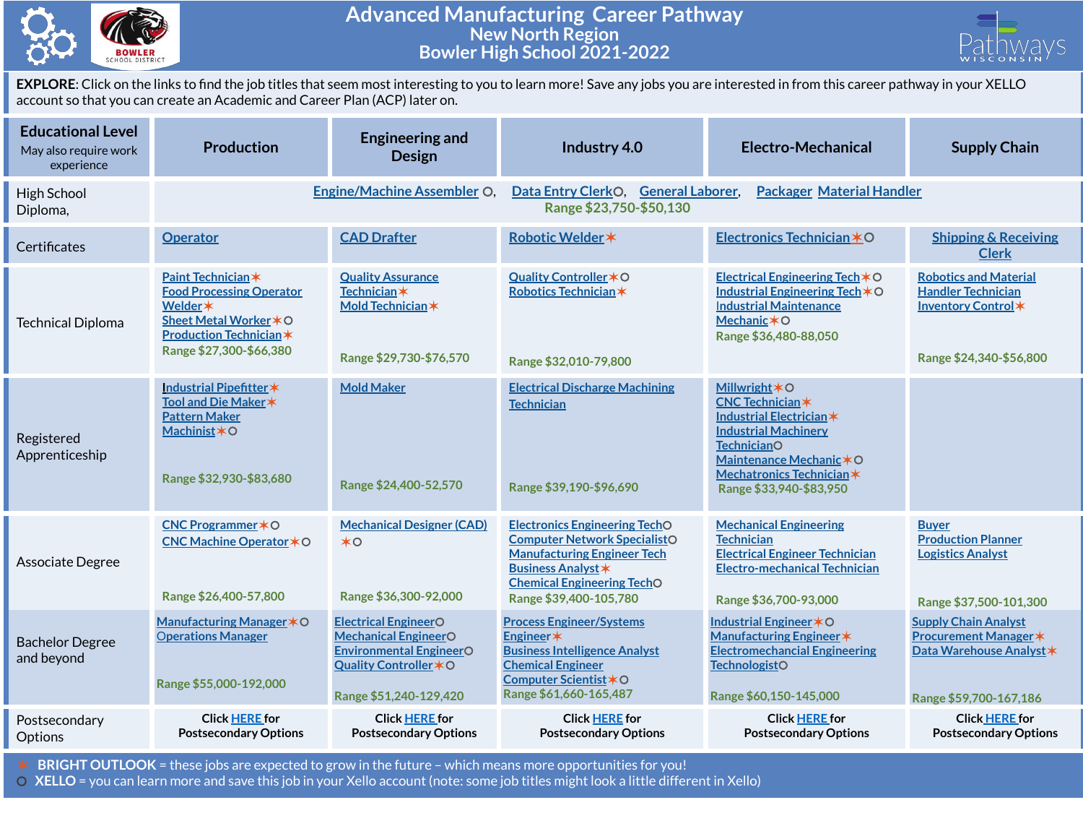

## **Advanced Manufacturing Career Pathway New North Region Bowler High School 2021-2022**



**EXPLORE**: Click on the links to find the job titles that seem most interesting to you to learn more! Save any jobs you are interested in from this career pathway in your XELLO account so that you can create an Academic and Career Plan (ACP) later on.

| <b>Educational Level</b><br>May also require work<br>experience | <b>Production</b>                                                                                                                                       | <b>Engineering and</b><br><b>Design</b>                                                                                                          | Industry 4.0                                                                                                                                                                                                  | <b>Electro-Mechanical</b>                                                                                                                                                                                                     | <b>Supply Chain</b>                                                                                              |  |  |  |
|-----------------------------------------------------------------|---------------------------------------------------------------------------------------------------------------------------------------------------------|--------------------------------------------------------------------------------------------------------------------------------------------------|---------------------------------------------------------------------------------------------------------------------------------------------------------------------------------------------------------------|-------------------------------------------------------------------------------------------------------------------------------------------------------------------------------------------------------------------------------|------------------------------------------------------------------------------------------------------------------|--|--|--|
| High School<br>Diploma,                                         | <b>Engine/Machine Assembler O.</b><br>Data Entry ClerkO, General Laborer,<br><b>Packager Material Handler</b><br>Range \$23,750-\$50,130                |                                                                                                                                                  |                                                                                                                                                                                                               |                                                                                                                                                                                                                               |                                                                                                                  |  |  |  |
| Certificates                                                    | <b>Operator</b>                                                                                                                                         | <b>CAD Drafter</b>                                                                                                                               | Robotic Welder *                                                                                                                                                                                              | Electronics Technician *O                                                                                                                                                                                                     | <b>Shipping &amp; Receiving</b><br><b>Clerk</b>                                                                  |  |  |  |
| <b>Technical Diploma</b>                                        | Paint Technician*<br><b>Food Processing Operator</b><br>Welder *<br>Sheet Metal Worker * O<br><b>Production Technician *</b><br>Range \$27,300-\$66,380 | <b>Quality Assurance</b><br><b>Technician</b> *<br>Mold Technician *<br>Range \$29,730-\$76,570                                                  | Quality Controller * O<br>Robotics Technician*<br>Range \$32,010-79,800                                                                                                                                       | Electrical Engineering Tech $*$ O<br>Industrial Engineering Tech $*$ O<br><b>Industrial Maintenance</b><br>Mechanic $*$ O<br>Range \$36,480-88,050                                                                            | <b>Robotics and Material</b><br><b>Handler Technician</b><br>Inventory Control*<br>Range \$24,340-\$56,800       |  |  |  |
| Registered<br>Apprenticeship                                    | Industrial Pipefitter*<br>Tool and Die Maker *<br><b>Pattern Maker</b><br>Machinist*O<br>Range \$32,930-\$83,680                                        | <b>Mold Maker</b><br>Range \$24,400-52,570                                                                                                       | <b>Electrical Discharge Machining</b><br><b>Technician</b><br>Range \$39,190-\$96,690                                                                                                                         | <b>Millwright <math>*</math>O</b><br><b>CNC Technician*</b><br>Industrial Electrician *<br><b>Industrial Machinery</b><br><b>TechnicianO</b><br>Maintenance Mechanic*O<br>Mechatronics Technician*<br>Range \$33,940-\$83,950 |                                                                                                                  |  |  |  |
| Associate Degree                                                | CNC Programmer * O<br>CNC Machine Operator <b>*</b> ○<br>Range \$26,400-57,800                                                                          | <b>Mechanical Designer (CAD)</b><br>$*$ O<br>Range \$36,300-92,000                                                                               | <b>Electronics Engineering TechO</b><br><b>Computer Network SpecialistO</b><br><b>Manufacturing Engineer Tech</b><br><b>Business Analyst *</b><br><b>Chemical Engineering TechO</b><br>Range \$39,400-105,780 | <b>Mechanical Engineering</b><br><b>Technician</b><br><b>Electrical Engineer Technician</b><br><b>Electro-mechanical Technician</b><br>Range \$36,700-93,000                                                                  | Buyer<br><b>Production Planner</b><br><b>Logistics Analyst</b><br>Range \$37,500-101,300                         |  |  |  |
| <b>Bachelor Degree</b><br>and beyond                            | Manufacturing Manager * O<br><b>Operations Manager</b><br>Range \$55,000-192,000                                                                        | <b>Electrical EngineerO</b><br><b>Mechanical EngineerO</b><br><b>Environmental EngineerO</b><br>Quality Controller * O<br>Range \$51,240-129,420 | <b>Process Engineer/Systems</b><br>Engineer*<br><b>Business Intelligence Analyst</b><br><b>Chemical Engineer</b><br>Computer Scientist * O<br>Range \$61,660-165,487                                          | Industrial Engineer * O<br>Manufacturing Engineer *<br><b>Electromechancial Engineering</b><br><b>TechnologistO</b><br>Range \$60,150-145,000                                                                                 | <b>Supply Chain Analyst</b><br><b>Procurement Manager *</b><br>Data Warehouse Analyst*<br>Range \$59,700-167,186 |  |  |  |
| Postsecondary<br>Options                                        | <b>Click HERE for</b><br><b>Postsecondary Options</b>                                                                                                   | <b>Click HERE for</b><br><b>Postsecondary Options</b>                                                                                            | <b>Click HERE for</b><br><b>Postsecondary Options</b>                                                                                                                                                         | <b>Click HERE for</b><br><b>Postsecondary Options</b>                                                                                                                                                                         | <b>Click HERE for</b><br><b>Postsecondary Options</b>                                                            |  |  |  |

✶ **BRIGHT OUTLOOK** = these jobs are expected to grow in the future – which means more opportunities for you!

⚪ **XELLO** = you can learn more and save this job in your Xello account (note: some job titles might look a little different in Xello)